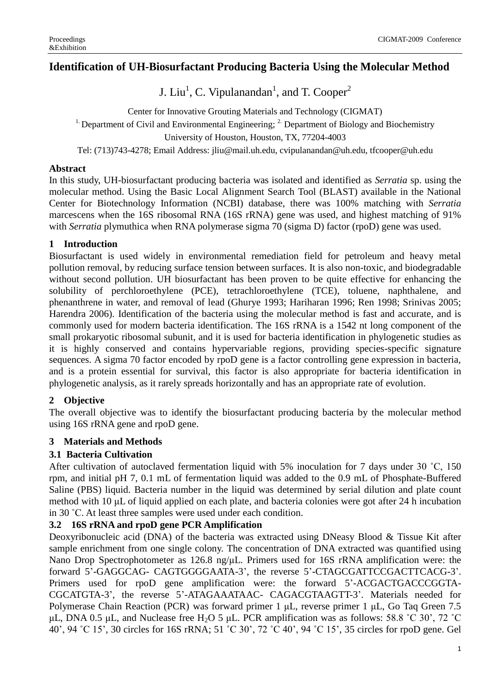# **Identification of UH-Biosurfactant Producing Bacteria Using the Molecular Method**

J. Liu<sup>1</sup>, C. Vipulanandan<sup>1</sup>, and T. Cooper<sup>2</sup>

Center for Innovative Grouting Materials and Technology (CIGMAT) <sup>1.</sup> Department of Civil and Environmental Engineering;  $^2$  Department of Biology and Biochemistry University of Houston, Houston, TX, 77204-4003

Tel: (713)743-4278; Email Address: [jliu@mail.uh.edu,](mailto:jliu@mail.uh.edu) [cvipulanandan@uh.edu,](mailto:cvipulanandan@uh.edu) [tfcooper@uh.edu](mailto:tfcooper@uh.edu)

#### **Abstract**

In this study, UH-biosurfactant producing bacteria was isolated and identified as *Serratia* sp. using the molecular method. Using the Basic Local Alignment Search Tool (BLAST) available in the National Center for Biotechnology Information (NCBI) database, there was 100% matching with *Serratia* marcescens when the 16S ribosomal RNA (16S rRNA) gene was used, and highest matching of 91% with *Serratia* plymuthica when RNA polymerase sigma 70 (sigma D) factor (rpoD) gene was used.

### **1 Introduction**

Biosurfactant is used widely in environmental remediation field for petroleum and heavy metal pollution removal, by reducing surface tension between surfaces. It is also non-toxic, and biodegradable without second pollution. UH biosurfactant has been proven to be quite effective for enhancing the solubility of perchloroethylene (PCE), tetrachloroethylene (TCE), toluene, naphthalene, and phenanthrene in water, and removal of lead (Ghurye 1993; Hariharan 1996; Ren 1998; Srinivas 2005; Harendra 2006). Identification of the bacteria using the molecular method is fast and accurate, and is commonly used for modern bacteria identification. The 16S rRNA is a 1542 nt long component of the small prokaryotic ribosomal subunit, and it is used for bacteria identification in [phylogenetic](http://en.wikipedia.org/wiki/Phylogenetics) studies as it is highly conserved and contains hypervariable regions, providing species-specific signature sequences. A sigma 70 factor encoded by rpoD gene is a factor controlling gene expression in bacteria, and is a protein essential for survival, this factor is also appropriate for bacteria identification in [phylogenetic](http://en.wikipedia.org/wiki/Phylogenetics) analysis, as it rarely spreads horizontally and has an appropriate rate of evolution.

## **2 Objective**

The overall objective was to identify the biosurfactant producing bacteria by the molecular method using 16S rRNA gene and rpoD gene.

#### **3 Materials and Methods**

## **3.1 Bacteria Cultivation**

After cultivation of autoclaved fermentation liquid with 5% inoculation for 7 days under 30 ˚C, 150 rpm, and initial pH 7, 0.1 mL of fermentation liquid was added to the 0.9 mL of [Phosphate-Buffered](http://www.bio-medicine.org/biology-products/Phosphate-Buffered-Saline--28PBS-29-7-4--281X-29-liquid-SuperCase-from-Invitrogen-3470-1/)  [Saline](http://www.bio-medicine.org/biology-products/Phosphate-Buffered-Saline--28PBS-29-7-4--281X-29-liquid-SuperCase-from-Invitrogen-3470-1/) (PBS) liquid. Bacteria number in the liquid was determined by serial dilution and plate count method with 10 μL of liquid applied on each plate, and bacteria colonies were got after 24 h incubation in 30 ˚C. At least three samples were used under each condition.

#### **3.2 16S rRNA and rpoD gene PCR Amplification**

Deoxyribonucleic acid (DNA) of the bacteria was extracted using DNeasy Blood & Tissue Kit after sample enrichment from one single colony. The concentration of DNA extracted was quantified using Nano Drop Spectrophotometer as 126.8 ng/μL. Primers used for 16S rRNA amplification were: the forward 5'-GAGGCAG- CAGTGGGGAATA-3', the reverse 5'-CTAGCGATTCCGACTTCACG-3'. Primers used for rpoD gene amplification were: the forward 5'-ACGACTGACCCGGTA-CGCATGTA-3', the reverse 5'-ATAGAAATAAC- CAGACGTAAGTT-3'. Materials needed for Polymerase Chain Reaction (PCR) was forward primer 1 μL, reverse primer 1 μL, Go Taq Green 7.5 μL, DNA 0.5 μL, and Nuclease free H<sub>2</sub>O 5 μL. PCR amplification was as follows: 58.8 °C 30', 72 °C 40', 94 ˚C 15', 30 circles for 16S rRNA; 51 ˚C 30', 72 ˚C 40', 94 ˚C 15', 35 circles for rpoD gene. Gel